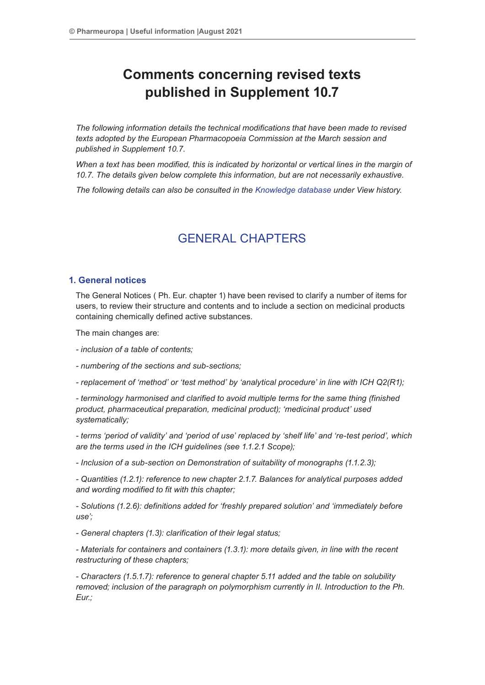# **Comments concerning revised texts published in Supplement 10.7**

*The following information details the technical modifications that have been made to revised texts adopted by the European Pharmacopoeia Commission at the March session and published in Supplement 10.7.*

*When a text has been modified, this is indicated by horizontal or vertical lines in the margin of 10.7. The details given below complete this information, but are not necessarily exhaustive.*

*The following details can also be consulted in the Knowledge database under View history.*

## GENERAL CHAPTERS

## **1. General notices**

The General Notices ( Ph. Eur. chapter 1) have been revised to clarify a number of items for users, to review their structure and contents and to include a section on medicinal products containing chemically defined active substances.

The main changes are:

*- inclusion of a table of contents;*

*- numbering of the sections and sub-sections;*

*- replacement of 'method' or 'test method' by 'analytical procedure' in line with ICH Q2(R1);*

*- terminology harmonised and clarified to avoid multiple terms for the same thing (finished product, pharmaceutical preparation, medicinal product); 'medicinal product' used systematically;*

*- terms 'period of validity' and 'period of use' replaced by 'shelf life' and 're-test period', which are the terms used in the ICH guidelines (see 1.1.2.1 Scope);*

*- Inclusion of a sub-section on Demonstration of suitability of monographs (1.1.2.3);*

*- Quantities (1.2.1): reference to new chapter 2.1.7. Balances for analytical purposes added and wording modified to fit with this chapter;*

*- Solutions (1.2.6): definitions added for 'freshly prepared solution' and 'immediately before use';*

*- General chapters (1.3): clarification of their legal status;*

*- Materials for containers and containers (1.3.1): more details given, in line with the recent restructuring of these chapters;*

*- Characters (1.5.1.7): reference to general chapter 5.11 added and the table on solubility removed; inclusion of the paragraph on polymorphism currently in II. Introduction to the Ph. Eur.;*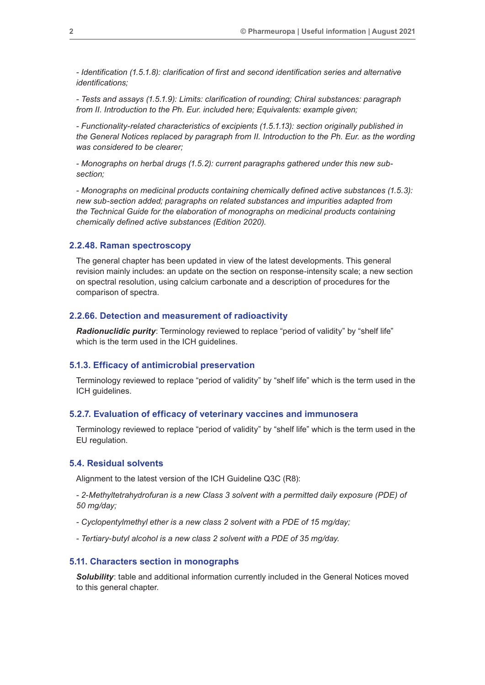*- Identification (1.5.1.8): clarification of first and second identification series and alternative identifications;*

*- Tests and assays (1.5.1.9): Limits: clarification of rounding; Chiral substances: paragraph from II. Introduction to the Ph. Eur. included here; Equivalents: example given;*

*- Functionality-related characteristics of excipients (1.5.1.13): section originally published in the General Notices replaced by paragraph from II. Introduction to the Ph. Eur. as the wording was considered to be clearer;*

*- Monographs on herbal drugs (1.5.2): current paragraphs gathered under this new subsection;*

*- Monographs on medicinal products containing chemically defined active substances (1.5.3): new sub-section added; paragraphs on related substances and impurities adapted from the Technical Guide for the elaboration of monographs on medicinal products containing chemically defined active substances (Edition 2020).*

### **2.2.48. Raman spectroscopy**

The general chapter has been updated in view of the latest developments. This general revision mainly includes: an update on the section on response-intensity scale; a new section on spectral resolution, using calcium carbonate and a description of procedures for the comparison of spectra.

## **2.2.66. Detection and measurement of radioactivity**

*Radionuclidic purity*: Terminology reviewed to replace "period of validity" by "shelf life" which is the term used in the ICH guidelines.

#### **5.1.3. Efficacy of antimicrobial preservation**

Terminology reviewed to replace "period of validity" by "shelf life" which is the term used in the ICH guidelines.

## **5.2.7. Evaluation of efficacy of veterinary vaccines and immunosera**

Terminology reviewed to replace "period of validity" by "shelf life" which is the term used in the EU regulation.

#### **5.4. Residual solvents**

Alignment to the latest version of the ICH Guideline Q3C (R8):

*- 2-Methyltetrahydrofuran is a new Class 3 solvent with a permitted daily exposure (PDE) of 50 mg/day;*

*- Cyclopentylmethyl ether is a new class 2 solvent with a PDE of 15 mg/day;*

*- Tertiary-butyl alcohol is a new class 2 solvent with a PDE of 35 mg/day.*

#### **5.11. Characters section in monographs**

**Solubility:** table and additional information currently included in the General Notices moved to this general chapter.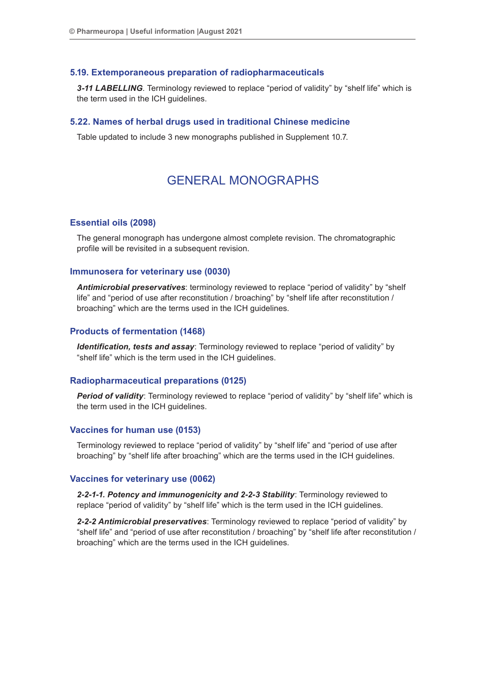#### **5.19. Extemporaneous preparation of radiopharmaceuticals**

*3-11 LABELLING*. Terminology reviewed to replace "period of validity" by "shelf life" which is the term used in the ICH guidelines.

#### **5.22. Names of herbal drugs used in traditional Chinese medicine**

Table updated to include 3 new monographs published in Supplement 10.7.

## GENERAL MONOGRAPHS

#### **Essential oils (2098)**

The general monograph has undergone almost complete revision. The chromatographic profile will be revisited in a subsequent revision.

### **Immunosera for veterinary use (0030)**

*Antimicrobial preservatives*: terminology reviewed to replace "period of validity" by "shelf life" and "period of use after reconstitution / broaching" by "shelf life after reconstitution / broaching" which are the terms used in the ICH guidelines.

#### **Products of fermentation (1468)**

*Identification, tests and assay*: Terminology reviewed to replace "period of validity" by "shelf life" which is the term used in the ICH guidelines.

## **Radiopharmaceutical preparations (0125)**

**Period of validity**: Terminology reviewed to replace "period of validity" by "shelf life" which is the term used in the ICH guidelines.

## **Vaccines for human use (0153)**

Terminology reviewed to replace "period of validity" by "shelf life" and "period of use after broaching" by "shelf life after broaching" which are the terms used in the ICH guidelines.

#### **Vaccines for veterinary use (0062)**

*2-2-1-1. Potency and immunogenicity and 2-2-3 Stability*: Terminology reviewed to replace "period of validity" by "shelf life" which is the term used in the ICH guidelines.

*2-2-2 Antimicrobial preservatives*: Terminology reviewed to replace "period of validity" by "shelf life" and "period of use after reconstitution / broaching" by "shelf life after reconstitution / broaching" which are the terms used in the ICH guidelines.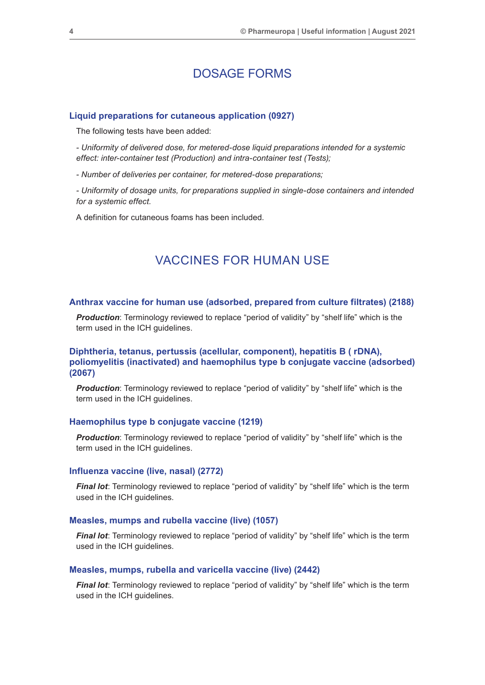## DOSAGE FORMS

### **Liquid preparations for cutaneous application (0927)**

The following tests have been added:

*- Uniformity of delivered dose, for metered-dose liquid preparations intended for a systemic effect: inter-container test (Production) and intra-container test (Tests);*

*- Number of deliveries per container, for metered-dose preparations;*

*- Uniformity of dosage units, for preparations supplied in single-dose containers and intended for a systemic effect.*

A definition for cutaneous foams has been included.

## VACCINES FOR HUMAN USE

#### **Anthrax vaccine for human use (adsorbed, prepared from culture filtrates) (2188)**

**Production**: Terminology reviewed to replace "period of validity" by "shelf life" which is the term used in the ICH guidelines.

## **Diphtheria, tetanus, pertussis (acellular, component), hepatitis B ( rDNA), poliomyelitis (inactivated) and haemophilus type b conjugate vaccine (adsorbed) (2067)**

**Production**: Terminology reviewed to replace "period of validity" by "shelf life" which is the term used in the ICH guidelines.

#### **Haemophilus type b conjugate vaccine (1219)**

**Production**: Terminology reviewed to replace "period of validity" by "shelf life" which is the term used in the ICH guidelines.

#### **Influenza vaccine (live, nasal) (2772)**

*Final lot*: Terminology reviewed to replace "period of validity" by "shelf life" which is the term used in the ICH guidelines.

#### **Measles, mumps and rubella vaccine (live) (1057)**

*Final lot*: Terminology reviewed to replace "period of validity" by "shelf life" which is the term used in the ICH guidelines.

#### **Measles, mumps, rubella and varicella vaccine (live) (2442)**

*Final lot*: Terminology reviewed to replace "period of validity" by "shelf life" which is the term used in the ICH guidelines.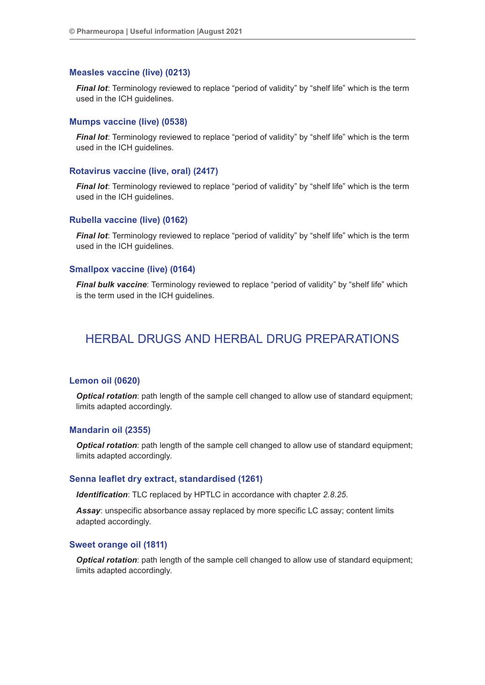### **Measles vaccine (live) (0213)**

*Final lot*: Terminology reviewed to replace "period of validity" by "shelf life" which is the term used in the ICH guidelines.

#### **Mumps vaccine (live) (0538)**

*Final lot*: Terminology reviewed to replace "period of validity" by "shelf life" which is the term used in the ICH guidelines.

#### **Rotavirus vaccine (live, oral) (2417)**

*Final lot*: Terminology reviewed to replace "period of validity" by "shelf life" which is the term used in the ICH guidelines.

#### **Rubella vaccine (live) (0162)**

*Final lot*: Terminology reviewed to replace "period of validity" by "shelf life" which is the term used in the ICH guidelines.

#### **Smallpox vaccine (live) (0164)**

*Final bulk vaccine:* Terminology reviewed to replace "period of validity" by "shelf life" which is the term used in the ICH guidelines.

## HERBAL DRUGS AND HERBAL DRUG PREPARATIONS

#### **Lemon oil (0620)**

**Optical rotation**: path length of the sample cell changed to allow use of standard equipment; limits adapted accordingly.

#### **Mandarin oil (2355)**

*Optical rotation*: path length of the sample cell changed to allow use of standard equipment; limits adapted accordingly.

#### **Senna leaflet dry extract, standardised (1261)**

*Identification*: TLC replaced by HPTLC in accordance with chapter *2.8.25*.

*Assay*: unspecific absorbance assay replaced by more specific LC assay; content limits adapted accordingly.

#### **Sweet orange oil (1811)**

**Optical rotation**: path length of the sample cell changed to allow use of standard equipment; limits adapted accordingly.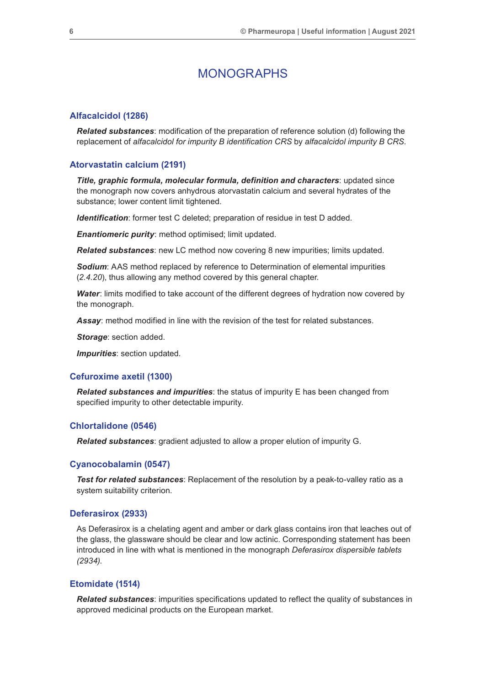## MONOGRAPHS

#### **Alfacalcidol (1286)**

*Related substances*: modification of the preparation of reference solution (d) following the replacement of *alfacalcidol for impurity B identification CRS* by *alfacalcidol impurity B CRS*.

#### **Atorvastatin calcium (2191)**

*Title, graphic formula, molecular formula, definition and characters*: updated since the monograph now covers anhydrous atorvastatin calcium and several hydrates of the substance; lower content limit tightened.

*Identification*: former test C deleted; preparation of residue in test D added.

*Enantiomeric purity*: method optimised; limit updated.

*Related substances*: new LC method now covering 8 new impurities; limits updated.

*Sodium*: AAS method replaced by reference to Determination of elemental impurities (*2.4.20*), thus allowing any method covered by this general chapter.

**Water:** limits modified to take account of the different degrees of hydration now covered by the monograph.

*Assay*: method modified in line with the revision of the test for related substances.

*Storage*: section added.

*Impurities*: section updated.

#### **Cefuroxime axetil (1300)**

*Related substances and impurities*: the status of impurity E has been changed from specified impurity to other detectable impurity.

## **Chlortalidone (0546)**

*Related substances*: gradient adjusted to allow a proper elution of impurity G.

#### **Cyanocobalamin (0547)**

*Test for related substances*: Replacement of the resolution by a peak-to-valley ratio as a system suitability criterion.

#### **Deferasirox (2933)**

As Deferasirox is a chelating agent and amber or dark glass contains iron that leaches out of the glass, the glassware should be clear and low actinic. Corresponding statement has been introduced in line with what is mentioned in the monograph *Deferasirox dispersible tablets (2934)*.

#### **Etomidate (1514)**

*Related substances*: impurities specifications updated to reflect the quality of substances in approved medicinal products on the European market.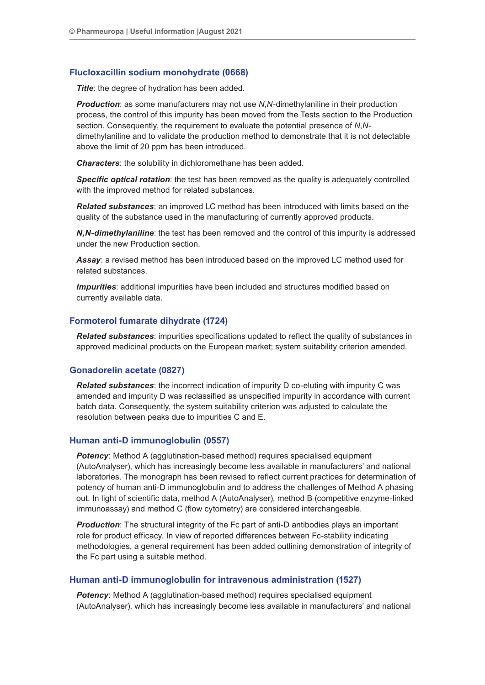## **Flucloxacillin sodium monohydrate (0668)**

**Title:** the degree of hydration has been added.

*Production*: as some manufacturers may not use *N*,*N*-dimethylaniline in their production process, the control of this impurity has been moved from the Tests section to the Production section. Consequently, the requirement to evaluate the potential presence of *N*,*N*dimethylaniline and to validate the production method to demonstrate that it is not detectable above the limit of 20 ppm has been introduced.

*Characters*: the solubility in dichloromethane has been added.

*Specific optical rotation*: the test has been removed as the quality is adequately controlled with the improved method for related substances.

*Related substances*: an improved LC method has been introduced with limits based on the quality of the substance used in the manufacturing of currently approved products.

*N,N-dimethylaniline*: the test has been removed and the control of this impurity is addressed under the new Production section.

*Assay*: a revised method has been introduced based on the improved LC method used for related substances.

*Impurities*: additional impurities have been included and structures modified based on currently available data.

#### **Formoterol fumarate dihydrate (1724)**

*Related substances*: impurities specifications updated to reflect the quality of substances in approved medicinal products on the European market; system suitability criterion amended.

## **Gonadorelin acetate (0827)**

*Related substances*: the incorrect indication of impurity D co-eluting with impurity C was amended and impurity D was reclassified as unspecified impurity in accordance with current batch data. Consequently, the system suitability criterion was adjusted to calculate the resolution between peaks due to impurities C and E.

#### **Human anti-D immunoglobulin (0557)**

**Potency:** Method A (agglutination-based method) requires specialised equipment (AutoAnalyser), which has increasingly become less available in manufacturers' and national laboratories. The monograph has been revised to reflect current practices for determination of potency of human anti-D immunoglobulin and to address the challenges of Method A phasing out. In light of scientific data, method A (AutoAnalyser), method B (competitive enzyme-linked immunoassay) and method C (flow cytometry) are considered interchangeable.

*Production:* The structural integrity of the Fc part of anti-D antibodies plays an important role for product efficacy. In view of reported differences between Fc-stability indicating methodologies, a general requirement has been added outlining demonstration of integrity of the Fc part using a suitable method.

#### **Human anti-D immunoglobulin for intravenous administration (1527)**

*Potency:* Method A (agglutination-based method) requires specialised equipment (AutoAnalyser), which has increasingly become less available in manufacturers' and national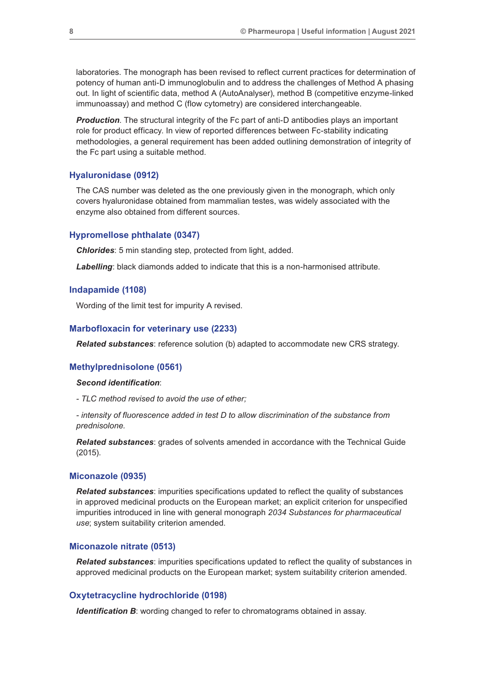laboratories. The monograph has been revised to reflect current practices for determination of potency of human anti-D immunoglobulin and to address the challenges of Method A phasing out. In light of scientific data, method A (AutoAnalyser), method B (competitive enzyme-linked immunoassay) and method C (flow cytometry) are considered interchangeable.

*Production*. The structural integrity of the Fc part of anti-D antibodies plays an important role for product efficacy. In view of reported differences between Fc-stability indicating methodologies, a general requirement has been added outlining demonstration of integrity of the Fc part using a suitable method.

#### **Hyaluronidase (0912)**

The CAS number was deleted as the one previously given in the monograph, which only covers hyaluronidase obtained from mammalian testes, was widely associated with the enzyme also obtained from different sources.

#### **Hypromellose phthalate (0347)**

*Chlorides*: 5 min standing step, protected from light, added.

*Labelling*: black diamonds added to indicate that this is a non-harmonised attribute.

#### **Indapamide (1108)**

Wording of the limit test for impurity A revised.

#### **Marbofloxacin for veterinary use (2233)**

*Related substances*: reference solution (b) adapted to accommodate new CRS strategy.

#### **Methylprednisolone (0561)**

#### *Second identification*:

*- TLC method revised to avoid the use of ether;*

*- intensity of fluorescence added in test D to allow discrimination of the substance from prednisolone.*

*Related substances*: grades of solvents amended in accordance with the Technical Guide (2015).

## **Miconazole (0935)**

*Related substances*: impurities specifications updated to reflect the quality of substances in approved medicinal products on the European market; an explicit criterion for unspecified impurities introduced in line with general monograph *2034 Substances for pharmaceutical use*; system suitability criterion amended.

#### **Miconazole nitrate (0513)**

*Related substances*: impurities specifications updated to reflect the quality of substances in approved medicinal products on the European market; system suitability criterion amended.

#### **Oxytetracycline hydrochloride (0198)**

*Identification B*: wording changed to refer to chromatograms obtained in assay.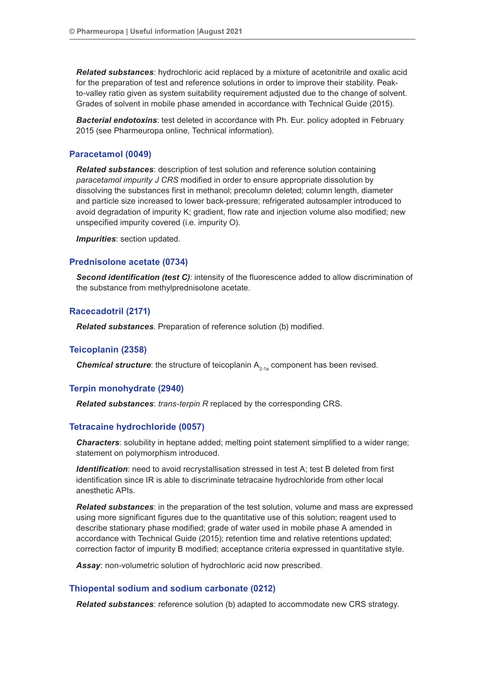*Related substances*: hydrochloric acid replaced by a mixture of acetonitrile and oxalic acid for the preparation of test and reference solutions in order to improve their stability. Peakto-valley ratio given as system suitability requirement adjusted due to the change of solvent. Grades of solvent in mobile phase amended in accordance with Technical Guide (2015).

*Bacterial endotoxins*: test deleted in accordance with Ph. Eur. policy adopted in February 2015 (see Pharmeuropa online, Technical information).

#### **Paracetamol (0049)**

*Related substances*: description of test solution and reference solution containing *paracetamol impurity J CRS* modified in order to ensure appropriate dissolution by dissolving the substances first in methanol; precolumn deleted; column length, diameter and particle size increased to lower back-pressure; refrigerated autosampler introduced to avoid degradation of impurity K; gradient, flow rate and injection volume also modified; new unspecified impurity covered (i.e. impurity O).

*Impurities*: section updated.

#### **Prednisolone acetate (0734)**

*Second identification (test C)*: intensity of the fluorescence added to allow discrimination of the substance from methylprednisolone acetate.

#### **Racecadotril (2171)**

*Related substances*. Preparation of reference solution (b) modified.

#### **Teicoplanin (2358)**

**Chemical structure**: the structure of teicoplanin A<sub>2-1a</sub> component has been revised.

## **Terpin monohydrate (2940)**

*Related substances*: *trans-terpin R* replaced by the corresponding CRS.

#### **Tetracaine hydrochloride (0057)**

*Characters*: solubility in heptane added; melting point statement simplified to a wider range; statement on polymorphism introduced.

*Identification*: need to avoid recrystallisation stressed in test A; test B deleted from first identification since IR is able to discriminate tetracaine hydrochloride from other local anesthetic APIs.

*Related substances*: in the preparation of the test solution, volume and mass are expressed using more significant figures due to the quantitative use of this solution; reagent used to describe stationary phase modified; grade of water used in mobile phase A amended in accordance with Technical Guide (2015); retention time and relative retentions updated; correction factor of impurity B modified; acceptance criteria expressed in quantitative style.

*Assay*: non-volumetric solution of hydrochloric acid now prescribed.

#### **Thiopental sodium and sodium carbonate (0212)**

*Related substances*: reference solution (b) adapted to accommodate new CRS strategy.